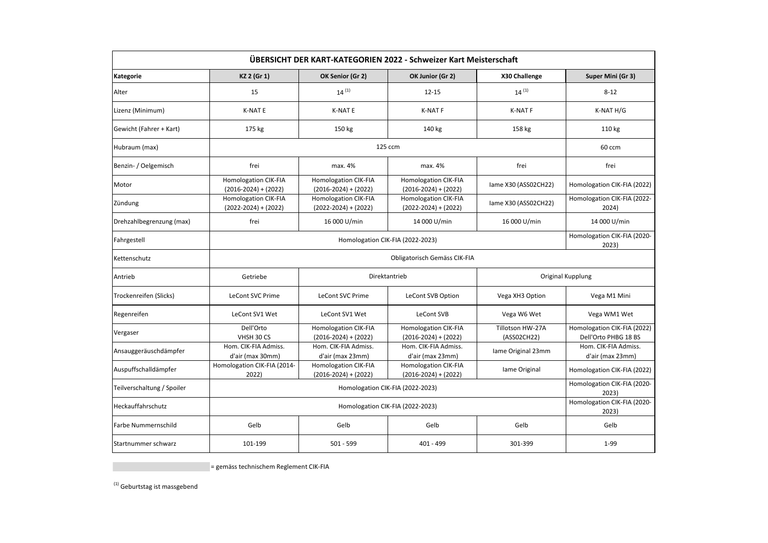| ÜBERSICHT DER KART-KATEGORIEN 2022 - Schweizer Kart Meisterschaft |                                                     |                                                         |                                                         |                                 |                                                     |  |  |  |  |
|-------------------------------------------------------------------|-----------------------------------------------------|---------------------------------------------------------|---------------------------------------------------------|---------------------------------|-----------------------------------------------------|--|--|--|--|
| Kategorie                                                         | KZ 2 (Gr 1)                                         | OK Senior (Gr 2)                                        | OK Junior (Gr 2)                                        | X30 Challenge                   | Super Mini (Gr 3)                                   |  |  |  |  |
| Alter                                                             | 15                                                  | $14^{(1)}$                                              | $12 - 15$                                               | $14^{(1)}$                      | $8 - 12$                                            |  |  |  |  |
| Lizenz (Minimum)                                                  | <b>K-NAT E</b>                                      | <b>K-NAT E</b>                                          | <b>K-NATF</b>                                           | <b>K-NATF</b>                   | K-NAT H/G                                           |  |  |  |  |
| Gewicht (Fahrer + Kart)                                           | 175 kg                                              | 150 kg                                                  | 140 kg                                                  | 158 kg                          | 110 kg                                              |  |  |  |  |
| Hubraum (max)                                                     |                                                     | 60 ccm                                                  |                                                         |                                 |                                                     |  |  |  |  |
| Benzin- / Oelgemisch                                              | frei                                                | max. 4%                                                 | max. 4%                                                 | frei                            | frei                                                |  |  |  |  |
| Motor                                                             | Homologation CIK-FIA<br>$(2016-2024)+(2022)$        | <b>Homologation CIK-FIA</b><br>$(2016 - 2024) + (2022)$ | Homologation CIK-FIA<br>$(2016-2024)+(2022)$            | lame X30 (ASS02CH22)            | Homologation CIK-FIA (2022)                         |  |  |  |  |
| Zündung                                                           | <b>Homologation CIK-FIA</b><br>$(2022-2024)+(2022)$ | <b>Homologation CIK-FIA</b><br>$(2022-2024)+(2022)$     | <b>Homologation CIK-FIA</b><br>$(2022 - 2024) + (2022)$ | lame X30 (ASS02CH22)            | Homologation CIK-FIA (2022-<br>2024)                |  |  |  |  |
| Drehzahlbegrenzung (max)                                          | frei                                                | 16 000 U/min                                            | 14 000 U/min                                            | 16 000 U/min                    | 14 000 U/min                                        |  |  |  |  |
| Fahrgestell                                                       |                                                     | Homologation CIK-FIA (2020-<br>2023)                    |                                                         |                                 |                                                     |  |  |  |  |
| Kettenschutz                                                      | Obligatorisch Gemäss CIK-FIA                        |                                                         |                                                         |                                 |                                                     |  |  |  |  |
| Antrieb                                                           | Getriebe                                            |                                                         | Direktantrieb                                           | Original Kupplung               |                                                     |  |  |  |  |
| Trockenreifen (Slicks)                                            | LeCont SVC Prime                                    | <b>LeCont SVC Prime</b>                                 | LeCont SVB Option                                       | Vega XH3 Option                 | Vega M1 Mini                                        |  |  |  |  |
| Regenreifen                                                       | LeCont SV1 Wet                                      | LeCont SV1 Wet                                          | LeCont SVB                                              | Vega W6 Wet                     | Vega WM1 Wet                                        |  |  |  |  |
| Vergaser                                                          | Dell'Orto<br>VHSH 30 CS                             | <b>Homologation CIK-FIA</b><br>$(2016-2024) + (2022)$   | <b>Homologation CIK-FIA</b><br>$(2016-2024) + (2022)$   | Tillotson HW-27A<br>(ASS02CH22) | Homologation CIK-FIA (2022)<br>Dell'Orto PHBG 18 BS |  |  |  |  |
| Ansauggeräuschdämpfer                                             | Hom. CIK-FIA Admiss.<br>d'air (max 30mm)            | Hom. CIK-FIA Admiss.<br>d'air (max 23mm)                | Hom. CIK-FIA Admiss.<br>d'air (max 23mm)                | Iame Original 23mm              | Hom. CIK-FIA Admiss.<br>d'air (max 23mm)            |  |  |  |  |
| Auspuffschalldämpfer                                              | Homologation CIK-FIA (2014-<br>2022)                | <b>Homologation CIK-FIA</b><br>$(2016-2024) + (2022)$   | <b>Homologation CIK-FIA</b><br>$(2016-2024) + (2022)$   | lame Original                   | Homologation CIK-FIA (2022)                         |  |  |  |  |
| Teilverschaltung / Spoiler                                        |                                                     | Homologation CIK-FIA (2020-<br>2023)                    |                                                         |                                 |                                                     |  |  |  |  |
| Heckauffahrschutz                                                 |                                                     | Homologation CIK-FIA (2020-<br>2023)                    |                                                         |                                 |                                                     |  |  |  |  |
| <b>Farbe Nummernschild</b>                                        | Gelb                                                | Gelb                                                    | Gelb                                                    | Gelb                            | Gelb                                                |  |  |  |  |
| Startnummer schwarz                                               | 101-199                                             | $501 - 599$                                             | 401 - 499                                               | 301-399                         | $1 - 99$                                            |  |  |  |  |

= gemäss technischem Reglement CIK-FIA

 $^{(1)}$  Geburtstag ist massgebend